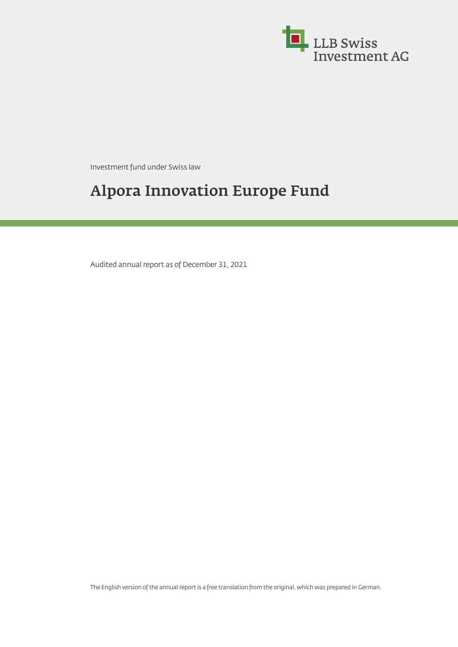

Investment fund under Swiss law

# **Alpora Innovation Europe Fund**

Audited annual report as of December 31, 2021

The English version of the annual report is a free translation from the original, which was prepared in German.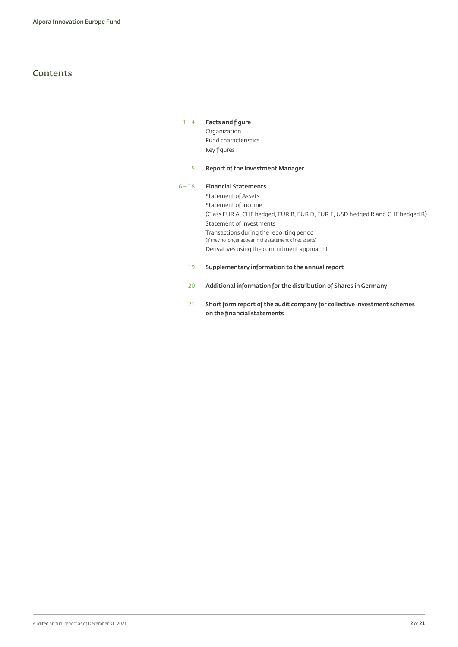### **Contents**

### [3](#page-2-0) – [4](#page-3-0) **[Facts and figure](#page-2-1)**

Organization Fund characteristics Key figures

#### [5](#page-4-0) **[Report of the Investment Manager](#page-4-1)**

### 6 – [18](#page-17-0) **[Financial Statements](#page-5-0)** Statement of Assets Statement of Income (Class EUR A, CHF hedged, EUR B, EUR D, EUR E, USD hedged R and CHF hedged R) Statement of Investments Transactions during the reporting period (If they no longer appear in the statement of net assets) Derivatives using the commitment approach I

- 19 **[Supplementary information to the annual report](#page-18-0)**
- [20](#page-19-0) **[Additional information for the distribution of Shares in Germany](#page-19-1)**
- [21](#page-20-0) **[Short form report of the audit company for collective investment schemes](#page-20-1) [on the financial statements](#page-20-1)**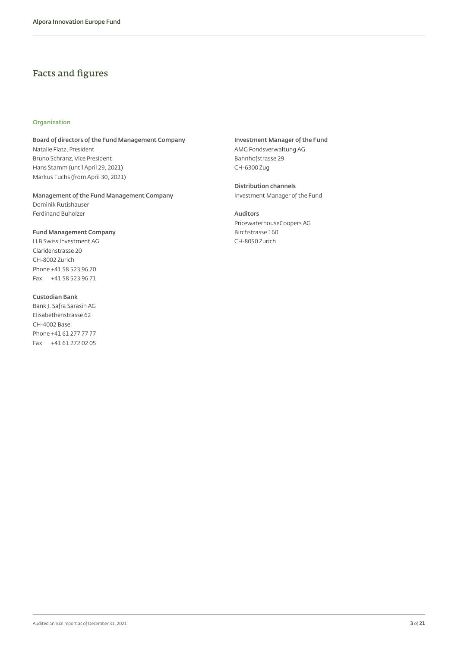### <span id="page-2-1"></span>Facts and figures

#### **Organization**

**Board of directors of the Fund Management Company** Natalie Flatz, President Bruno Schranz, Vice President Hans Stamm (until April 29, 2021) Markus Fuchs (from April 30, 2021)

**Management of the Fund Management Company** Dominik Rutishauser Ferdinand Buholzer

**Fund Management Company** LLB Swiss Investment AG Claridenstrasse 20 CH-8002 Zurich Phone +41 58 523 96 70 Fax +41 58 523 96 71

**Custodian Bank** Bank J. Safra Sarasin AG Elisabethenstrasse 62 CH-4002 Basel Phone +41 61 277 77 77 Fax +41 61 272 02 05 <span id="page-2-0"></span>**Investment Manager of the Fund** AMG Fondsverwaltung AG Bahnhofstrasse 29 CH-6300 Zug

**Distribution channels** Investment Manager of the Fund

**Auditors** PricewaterhouseCoopers AG Birchstrasse 160 CH-8050 Zurich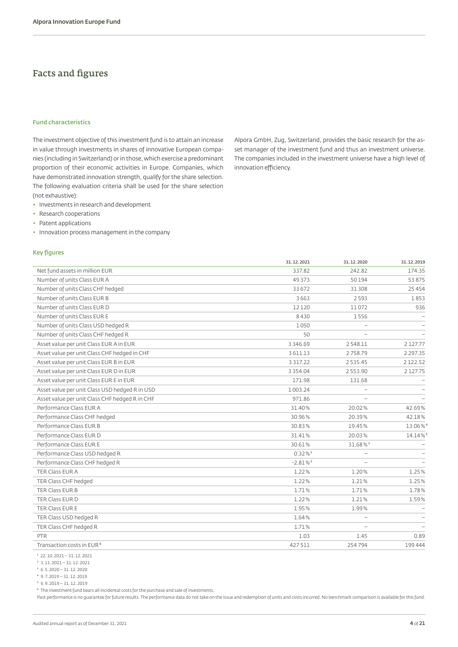### Facts and figures

#### **Fund characteristics**

The investment objective of this investment fund is to attain an increase in value through investments in shares of innovative European companies (including in Switzerland) or in those, which exercise a predominant proportion of their economic activities in Europe. Companies, which have demonstrated innovation strength, qualify for the share selection. The following evaluation criteria shall be used for the share selection (not exhaustive):

- ◆ Investments in research and development
- ◆ Research cooperations
- ◆ Patent applications
- ◆ Innovation process management in the company

#### **Key figures**

<span id="page-3-0"></span>Alpora GmbH, Zug, Switzerland, provides the basic research for the asset manager of the investment fund and thus an investment universe. The companies included in the investment universe have a high level of innovation efficiency.

|                                                | 31.12.2021            | 31.12.2020               | 31.12.2019    |
|------------------------------------------------|-----------------------|--------------------------|---------------|
| Net fund assets in million EUR                 | 337.82                | 242.82                   | 174.35        |
| Number of units Class EUR A                    | 49373                 | 50194                    | 53875         |
| Number of units Class CHF hedged               | 33 672                | 31 308                   | 25454         |
| Number of units Class EUR B                    | 3663                  | 2593                     | 1853          |
| Number of units Class EUR D                    | 12120                 | 11072                    | 936           |
| Number of units Class EUR E                    | 8430                  | 1556                     |               |
| Number of units Class USD hedged R             | 1050                  |                          |               |
| Number of units Class CHF hedged R             | 50                    | $\overline{\phantom{0}}$ |               |
| Asset value per unit Class EUR A in EUR        | 3 3 4 6 . 6 9         | 2548.11                  | 2127.77       |
| Asset value per unit Class CHF hedged in CHF   | 3 611.13              | 2758.79                  | 2 2 9 7 . 3 5 |
| Asset value per unit Class EUR B in EUR        | 3 3 1 7 . 2 2         | 2535.45                  | 2122.52       |
| Asset value per unit Class EUR D in EUR        | 3 3 5 4 . 0 4         | 2553.90                  | 2127.75       |
| Asset value per unit Class EUR E in EUR        | 171.98                | 131.68                   |               |
| Asset value per unit Class USD hedged R in USD | 1 003.24              |                          |               |
| Asset value per unit Class CHF hedged R in CHF | 971.86                |                          |               |
| Performance Class EUR A                        | 31.40%                | 20.02%                   | 42.69%        |
| Performance Class CHF hedged                   | 30.96%                | 20.39%                   | 42.18%        |
| Performance Class EUR B                        | 30.83%                | 19.45%                   | 13.06%        |
| Performance Class EUR D                        | 31.41%                | 20.03%                   | 14.14%        |
| Performance Class EUR E                        | 30.61%                | 31.68% <sup>3</sup>      |               |
| Performance Class USD hedged R                 | $0.32\%$ <sup>1</sup> |                          |               |
| Performance Class CHF hedged R                 | $-2.81%$              | $\overline{\phantom{m}}$ |               |
| TER Class EUR A                                | 1.22%                 | 1.20%                    | 1.25%         |
| TER Class CHF hedged                           | 1.22%                 | 1.21%                    | 1.25%         |
| TER Class EUR B                                | 1.71%                 | 1.71%                    | 1.78%         |
| TER Class EUR D                                | 1.22%                 | 1.21%                    | 1.59%         |
| TER Class EUR E                                | 1.95%                 | 1.99%                    |               |
| TER Class USD hedged R                         | 1.64%                 | $\overline{\phantom{m}}$ |               |
| TER Class CHF hedged R                         | 1.71%                 |                          |               |
| <b>PTR</b>                                     | 1.03                  | 1.45                     | 0.89          |
| Transaction costs in EUR <sup>6</sup>          | 427511                | 254794                   | 199 444       |

 $12.10.2021 - 31.12.2021$ 

² 3.11.2021 – 31.12.2021

 $3\,6.5.2020 - 31.12.2020$ 

 $4$  9.7.2019 – 31.12.2019

⁶ The investment fund bears all incidental costs for the purchase and sale of investments.

Past performance is no guarantee for future results. The performance data do not take on the issue and redemption of units and costs incurred. No benchmark comparison is available for this fund.

⁵ 6.9.2019 – 31.12.2019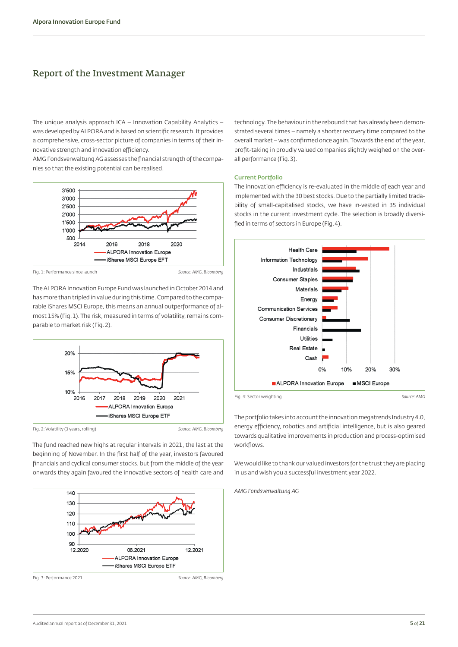### <span id="page-4-1"></span>Report of the Investment Manager

The unique analysis approach ICA – Innovation Capability Analytics – was developed by ALPORA and is based on scientific research. It provides a comprehensive, cross-sector picture of companies in terms of their innovative strength and innovation efficiency.

AMG Fondsverwaltung AG assesses the financial strength of the companies so that the existing potential can be realised.



Fig. 1: Performance since launch *Source: AMG, Bloomberg*

The ALPORA Innovation Europe Fund was launched in October 2014 and has more than tripled in value during this time. Compared to the comparable iShares MSCI Europe, this means an annual outperformance of almost 15% (Fig.1). The risk, measured in terms of volatility, remains comparable to market risk (Fig.2).



Fig. 2: Volatility (3 years, rolling) *Source: AMG, Bloomberg*

The fund reached new highs at regular intervals in 2021, the last at the beginning of November. In the first half of the year, investors favoured financials and cyclical consumer stocks, but from the middle of the year onwards they again favoured the innovative sectors of health care and



<span id="page-4-0"></span>technology. The behaviour in the rebound that has already been demonstrated several times – namely a shorter recovery time compared to the overall market – was confirmed once again. Towards the end of the year, profit-taking in proudly valued companies slightly weighed on the overall performance (Fig.3).

#### **Current Portfolio**

The innovation efficiency is re-evaluated in the middle of each year and implemented with the 30 best stocks. Due to the partially limited tradability of small-capitalised stocks, we have in-vested in 35 individual stocks in the current investment cycle. The selection is broadly diversified in terms of sectors in Europe (Fig.4).



The portfolio takes into account the innovation megatrends Industry 4.0, energy efficiency, robotics and artificial intelligence, but is also geared towards qualitative improvements in production and process-optimised workflows.

We would like to thank our valued investors for the trust they are placing in us and wish you a successful investment year 2022.

*AMG Fondsverwaltung AG*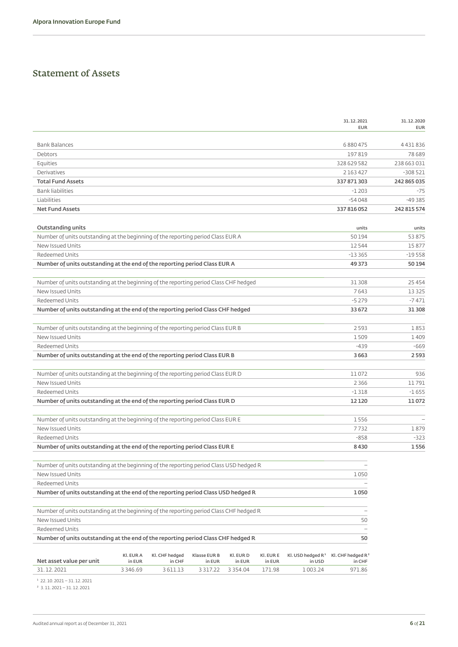### <span id="page-5-0"></span>Statement of Assets

|                                                                                         |                         |                   |                         |                         |                  |                               | 31.12.2021<br><b>EUR</b>      | 31.12.2020<br><b>EUR</b> |
|-----------------------------------------------------------------------------------------|-------------------------|-------------------|-------------------------|-------------------------|------------------|-------------------------------|-------------------------------|--------------------------|
|                                                                                         |                         |                   |                         |                         |                  |                               |                               |                          |
| <b>Bank Balances</b>                                                                    |                         |                   |                         |                         |                  |                               | 6880475                       | 4 4 3 1 8 3 6            |
| Debtors                                                                                 |                         |                   |                         |                         |                  |                               | 197819                        | 78 689                   |
| Equities                                                                                |                         |                   |                         |                         |                  |                               | 328 629 582                   | 238 663 031              |
| Derivatives                                                                             |                         |                   |                         |                         |                  |                               | 2 163 427                     | $-308521$                |
| <b>Total Fund Assets</b>                                                                |                         |                   |                         |                         |                  |                               | 337 871 303                   | 242 865 035              |
| <b>Bank liabilities</b>                                                                 |                         |                   |                         |                         |                  |                               | $-1203$                       | $-75$                    |
| Liabilities                                                                             |                         |                   |                         |                         |                  |                               | $-54048$                      | $-49385$                 |
| <b>Net Fund Assets</b>                                                                  |                         |                   |                         |                         |                  |                               | 337816052                     | 242 815 574              |
| Outstanding units                                                                       |                         |                   |                         |                         |                  |                               | units                         | units                    |
| Number of units outstanding at the beginning of the reporting period Class EUR A        |                         |                   |                         |                         |                  |                               | 50194                         | 53875                    |
| New Issued Units                                                                        |                         |                   |                         |                         |                  |                               | 12544                         | 15877                    |
| Redeemed Units                                                                          |                         |                   |                         |                         |                  |                               | $-13365$                      | $-19558$                 |
| Number of units outstanding at the end of the reporting period Class EUR A              |                         |                   |                         |                         |                  |                               | 49 3 7 3                      | 50 194                   |
|                                                                                         |                         |                   |                         |                         |                  |                               |                               |                          |
| Number of units outstanding at the beginning of the reporting period Class CHF hedged   |                         |                   |                         |                         |                  |                               | 31 308                        | 25 4 5 4                 |
| New Issued Units                                                                        |                         |                   |                         |                         |                  |                               | 7643                          | 13 3 25                  |
| Redeemed Units                                                                          |                         |                   |                         |                         |                  |                               | $-5279$                       | $-7471$                  |
| Number of units outstanding at the end of the reporting period Class CHF hedged         |                         |                   |                         |                         |                  |                               | 33 672                        | 31 30 8                  |
|                                                                                         |                         |                   |                         |                         |                  |                               |                               |                          |
| Number of units outstanding at the beginning of the reporting period Class EUR B        |                         |                   |                         |                         |                  |                               | 2593                          | 1853                     |
| New Issued Units                                                                        |                         |                   |                         |                         |                  |                               | 1509                          | 1409                     |
| Redeemed Units                                                                          |                         |                   |                         |                         |                  |                               | $-439$                        | $-669$                   |
| Number of units outstanding at the end of the reporting period Class EUR B              |                         |                   |                         |                         |                  |                               | 3663                          | 2593                     |
|                                                                                         |                         |                   |                         |                         |                  |                               |                               |                          |
| Number of units outstanding at the beginning of the reporting period Class EUR D        |                         |                   |                         |                         |                  |                               | 11072                         | 936                      |
| New Issued Units                                                                        |                         |                   |                         |                         |                  |                               | 2 3 6 6                       | 11791                    |
| Redeemed Units                                                                          |                         |                   |                         |                         |                  |                               | $-1318$                       | $-1655$                  |
| Number of units outstanding at the end of the reporting period Class EUR D              |                         |                   |                         |                         |                  |                               | 12 1 20                       | 11072                    |
|                                                                                         |                         |                   |                         |                         |                  |                               |                               |                          |
| Number of units outstanding at the beginning of the reporting period Class EUR E        |                         |                   |                         |                         |                  |                               | 1556                          | $\overline{\phantom{0}}$ |
| New Issued Units                                                                        |                         |                   |                         |                         |                  |                               | 7732                          | 1879                     |
| Redeemed Units                                                                          |                         |                   |                         |                         |                  |                               | $-858$                        | $-323$                   |
| Number of units outstanding at the end of the reporting period Class EUR E              |                         |                   |                         |                         |                  |                               | 8430                          | 1556                     |
|                                                                                         |                         |                   |                         |                         |                  |                               |                               |                          |
| Number of units outstanding at the beginning of the reporting period Class USD hedged R |                         |                   |                         |                         |                  |                               | $\qquad \qquad -$             |                          |
| New Issued Units                                                                        |                         |                   |                         |                         |                  |                               | 1050                          |                          |
| Redeemed Units                                                                          |                         |                   |                         |                         |                  |                               |                               |                          |
| Number of units outstanding at the end of the reporting period Class USD hedged R       |                         |                   |                         |                         |                  |                               | 1050                          |                          |
|                                                                                         |                         |                   |                         |                         |                  |                               |                               |                          |
| Number of units outstanding at the beginning of the reporting period Class CHF hedged R |                         |                   |                         |                         |                  |                               |                               |                          |
| New Issued Units                                                                        |                         |                   |                         |                         |                  |                               | 50                            |                          |
| Redeemed Units                                                                          |                         |                   |                         |                         |                  |                               | $\overline{\phantom{0}}$      |                          |
| Number of units outstanding at the end of the reporting period Class CHF hedged R       |                         |                   |                         |                         |                  |                               | 50                            |                          |
| Net asset value per unit                                                                | KI. EUR A               | Kl. CHF hedged    | <b>Klasse EUR B</b>     | KI. EUR D               | KI. EUR E        | Kl. USD hedged R <sup>1</sup> | Kl. CHF hedged R <sup>2</sup> |                          |
| 31.12.2021                                                                              | in EUR<br>3 3 4 6 . 6 9 | in CHF<br>3611.13 | in EUR<br>3 3 1 7 . 2 2 | in EUR<br>3 3 5 4 . 0 4 | in EUR<br>171.98 | in USD<br>1003.24             | in CHF<br>971.86              |                          |
|                                                                                         |                         |                   |                         |                         |                  |                               |                               |                          |

¹ 22.10.2021 – 31.12.2021

² 3.11.2021 – 31.12.2021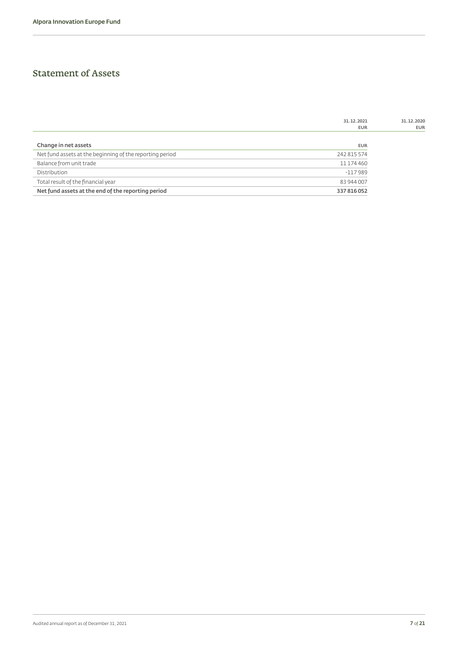### Statement of Assets

|                                                          | 31.12.2021  | 31.12.2020 |
|----------------------------------------------------------|-------------|------------|
|                                                          | <b>EUR</b>  | <b>EUR</b> |
|                                                          |             |            |
| Change in net assets                                     | <b>EUR</b>  |            |
| Net fund assets at the beginning of the reporting period | 242 815 574 |            |
| Balance from unit trade                                  | 11 174 460  |            |
| Distribution                                             | $-117989$   |            |
| Total result of the financial year                       | 83 944 007  |            |
| Net fund assets at the end of the reporting period       | 337 816 052 |            |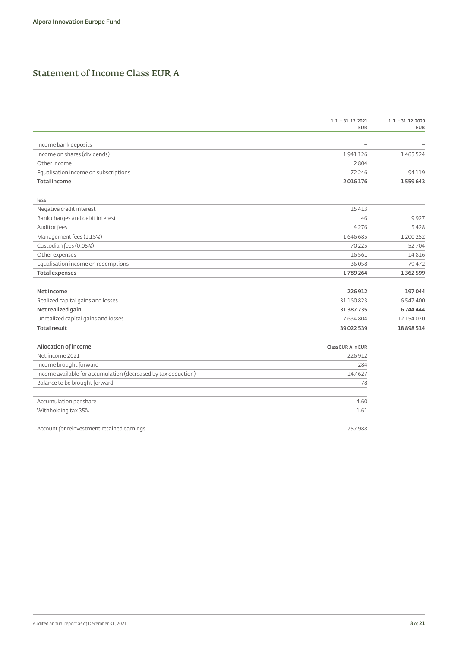### Statement of Income Class EUR A

|                                                                | $1.1 - 31.12.2021$<br><b>EUR</b> | $1.1 - 31.12.2020$<br><b>EUR</b> |
|----------------------------------------------------------------|----------------------------------|----------------------------------|
|                                                                |                                  |                                  |
| Income bank deposits                                           |                                  |                                  |
| Income on shares (dividends)                                   | 1941126                          | 1465524                          |
| Other income                                                   | 2804                             |                                  |
| Equalisation income on subscriptions                           | 72 246                           | 94119                            |
| <b>Total income</b>                                            | 2016176                          | 1559643                          |
|                                                                |                                  |                                  |
| less:                                                          |                                  |                                  |
| Negative credit interest                                       | 15413                            | $\overline{\phantom{0}}$         |
| Bank charges and debit interest                                | 46                               | 9927                             |
| Auditor fees                                                   | 4276                             | 5428                             |
| Management fees (1.15%)                                        | 1646685                          | 1 200 252                        |
| Custodian fees (0.05%)                                         | 70 2 25                          | 52704                            |
| Other expenses                                                 | 16561                            | 14816                            |
| Equalisation income on redemptions                             | 36058                            | 79472                            |
| <b>Total expenses</b>                                          | 1789264                          | 1 3 6 2 5 9 9                    |
|                                                                |                                  |                                  |
| Net income                                                     | 226912                           | 197044                           |
| Realized capital gains and losses                              | 31160823                         | 6 547 400                        |
| Net realized gain                                              | 31 387 735                       | 6744444                          |
| Unrealized capital gains and losses                            | 7634804                          | 12 154 070                       |
| <b>Total result</b>                                            | 39 022 539                       | 18 898 514                       |
|                                                                |                                  |                                  |
| Allocation of income                                           | <b>Class EUR A in EUR</b>        |                                  |
| Net income 2021                                                | 226 912                          |                                  |
| Income brought forward                                         | 284                              |                                  |
| Income available for accumulation (decreased by tax deduction) | 147627                           |                                  |
| Balance to be brought forward                                  | 78                               |                                  |
|                                                                |                                  |                                  |
| Accumulation per share                                         | 4.60                             |                                  |
| Withholding tax 35%                                            | 1.61                             |                                  |
| Account for reinvestment retained earnings                     | 757988                           |                                  |
|                                                                |                                  |                                  |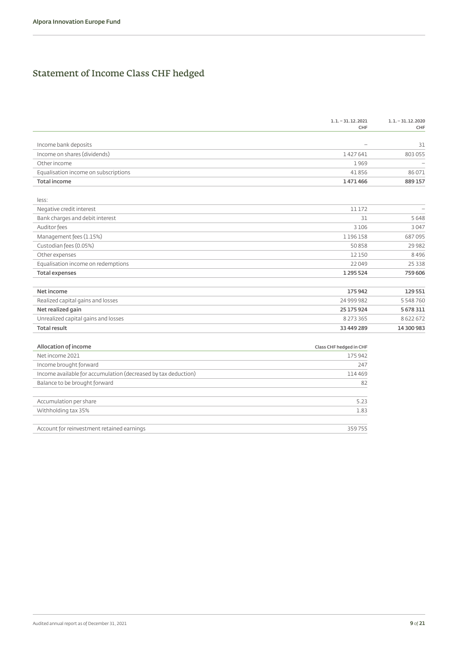# Statement of Income Class CHF hedged

|                                                                | $1.1 - 31.12.2021$<br>CHF | $1.1 - 31.12.2020$<br>CHF |
|----------------------------------------------------------------|---------------------------|---------------------------|
|                                                                |                           |                           |
| Income bank deposits                                           |                           | 31                        |
| Income on shares (dividends)                                   | 1427641                   | 803 055                   |
| Other income                                                   | 1969                      |                           |
| Equalisation income on subscriptions                           | 41856                     | 86071                     |
| <b>Total income</b>                                            | 1471466                   | 889157                    |
|                                                                |                           |                           |
| less:                                                          |                           |                           |
| Negative credit interest                                       | 11172                     | $\overline{\phantom{0}}$  |
| Bank charges and debit interest                                | 31                        | 5648                      |
| Auditor fees                                                   | 3 1 0 6                   | 3047                      |
| Management fees (1.15%)                                        | 1196158                   | 687095                    |
| Custodian fees (0.05%)                                         | 50858                     | 29982                     |
| Other expenses                                                 | 12150                     | 8496                      |
| Equalisation income on redemptions                             | 22049                     | 25 3 3 8                  |
| <b>Total expenses</b>                                          | 1295524                   | 759 606                   |
|                                                                |                           |                           |
| Net income                                                     | 175942                    | 129551                    |
| Realized capital gains and losses                              | 24 999 982                | 5 548 760                 |
| Net realized gain                                              | 25 175 924                | 5 678 311                 |
| Unrealized capital gains and losses                            | 8 2 7 3 3 6 5             | 8622672                   |
| <b>Total result</b>                                            | 33 449 289                | 14 300 983                |
| Allocation of income                                           | Class CHF hedged in CHF   |                           |
| Net income 2021                                                | 175 942                   |                           |
| Income brought forward                                         | 247                       |                           |
| Income available for accumulation (decreased by tax deduction) | 114469                    |                           |
| Balance to be brought forward                                  | 82                        |                           |
|                                                                |                           |                           |
| Accumulation per share                                         | 5.23                      |                           |
| Withholding tax 35%                                            | 1.83                      |                           |
|                                                                |                           |                           |
| Account for reinvestment retained earnings                     | 359755                    |                           |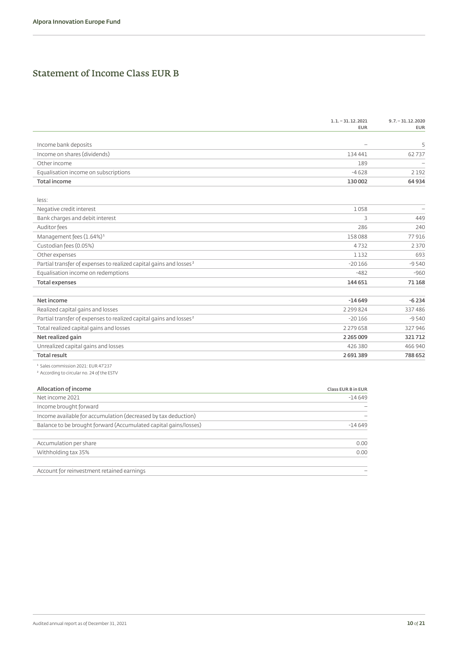### Statement of Income Class EUR B

|                                                                                | $1.1 - 31.12.2021$<br><b>EUR</b> | $9.7 - 31.12.2020$<br><b>EUR</b> |
|--------------------------------------------------------------------------------|----------------------------------|----------------------------------|
|                                                                                |                                  |                                  |
| Income bank deposits                                                           |                                  | 5                                |
| Income on shares (dividends)                                                   | 134 441                          | 62737                            |
| Other income                                                                   | 189                              |                                  |
| Equalisation income on subscriptions                                           | $-4628$                          | 2192                             |
| <b>Total income</b>                                                            | 130 002                          | 64934                            |
| less:                                                                          |                                  |                                  |
| Negative credit interest                                                       | 1058                             | $\overline{\phantom{a}}$         |
| Bank charges and debit interest                                                | 3                                | 449                              |
| Auditor fees                                                                   | 286                              | 240                              |
| Management fees (1.64%) <sup>1</sup>                                           | 158088                           | 77916                            |
| Custodian fees (0.05%)                                                         | 4732                             | 2370                             |
| Other expenses                                                                 | 1132                             | 693                              |
| Partial transfer of expenses to realized capital gains and losses <sup>2</sup> | $-20166$                         | $-9540$                          |
| Equalisation income on redemptions                                             | $-482$                           | $-960$                           |
| <b>Total expenses</b>                                                          | 144 651                          | 71168                            |
| Net income                                                                     | $-14649$                         | $-6234$                          |
| Realized capital gains and losses                                              | 2 2 9 8 2 4                      | 337486                           |
| Partial transfer of expenses to realized capital gains and losses <sup>2</sup> | $-20166$                         | $-9540$                          |
| Total realized capital gains and losses                                        | 2 2 7 9 6 5 8                    | 327946                           |
| Net realized gain                                                              | 2 2 6 5 0 0 9                    | 321712                           |
| Unrealized capital gains and losses                                            | 426 380                          | 466 940                          |
| <b>Total result</b>                                                            | 2691389                          | 788652                           |
| <sup>1</sup> Sales commission 2021: EUR 47'237                                 |                                  |                                  |
| <sup>2</sup> According to circular no. 24 of the ESTV                          |                                  |                                  |
| Allocation of income                                                           | Class EUR B in EUR               |                                  |
| Net income 2021                                                                | $-14649$                         |                                  |
| Income brought forward                                                         |                                  |                                  |
| Income available for accumulation (decreased by tax deduction)                 |                                  |                                  |
| Balance to be brought forward (Accumulated capital gains/losses)               | $-14649$                         |                                  |
| Accumulation per share                                                         | 0.00                             |                                  |
| Withholding tax 35%                                                            | 0.00                             |                                  |
|                                                                                |                                  |                                  |
|                                                                                |                                  |                                  |

Account for reinvestment retained earnings example of the state of the state of the state of the state of the state of the state of the state of the state of the state of the state of the state of the state of the state of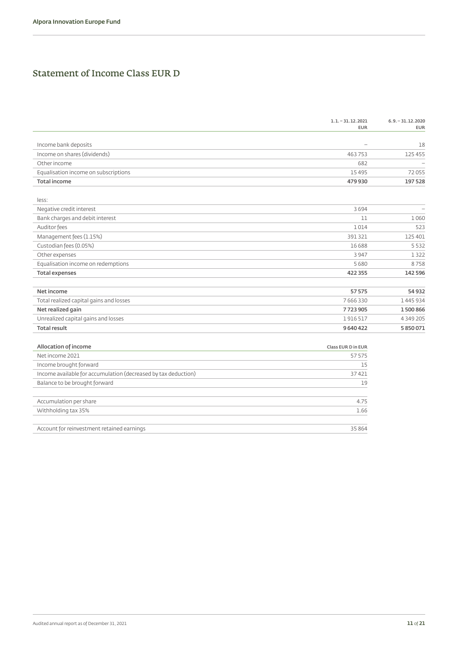### Statement of Income Class EUR D

|                                                                | $1.1 - 31.12.2021$<br><b>EUR</b> | $6.9 - 31.12.2020$<br><b>EUR</b> |
|----------------------------------------------------------------|----------------------------------|----------------------------------|
|                                                                |                                  |                                  |
| Income bank deposits                                           |                                  | 18                               |
| Income on shares (dividends)                                   | 463753                           | 125 455                          |
| Other income                                                   | 682                              |                                  |
| Equalisation income on subscriptions                           | 15495                            | 72055                            |
| <b>Total income</b>                                            | 479 930                          | 197528                           |
|                                                                |                                  |                                  |
| less:                                                          |                                  |                                  |
| Negative credit interest                                       | 3694                             | $\overline{\phantom{0}}$         |
| Bank charges and debit interest                                | 11                               | 1060                             |
| Auditor fees                                                   | 1014                             | 523                              |
| Management fees (1.15%)                                        | 391321                           | 125 401                          |
| Custodian fees (0.05%)                                         | 16688                            | 5532                             |
| Other expenses                                                 | 3947                             | 1322                             |
| Equalisation income on redemptions                             | 5680                             | 8758                             |
| <b>Total expenses</b>                                          | 422 355                          | 142 596                          |
|                                                                |                                  |                                  |
| Net income                                                     | 57575                            | 54932                            |
| Total realized capital gains and losses                        | 7666330                          | 1445934                          |
| Net realized gain                                              | 7723905                          | 1500866                          |
| Unrealized capital gains and losses                            | 1916517                          | 4 3 4 9 2 0 5                    |
| <b>Total result</b>                                            | 9640422                          | 5850071                          |
|                                                                |                                  |                                  |
| Allocation of income                                           | Class EUR D in EUR               |                                  |
| Net income 2021                                                | 57575                            |                                  |
| Income brought forward                                         | 15                               |                                  |
| Income available for accumulation (decreased by tax deduction) | 37421                            |                                  |
| Balance to be brought forward                                  | 19                               |                                  |
|                                                                |                                  |                                  |
| Accumulation per share                                         | 4.75                             |                                  |
| Withholding tax 35%                                            | 1.66                             |                                  |
| Account for reinvestment retained earnings                     | 35 8 6 4                         |                                  |
|                                                                |                                  |                                  |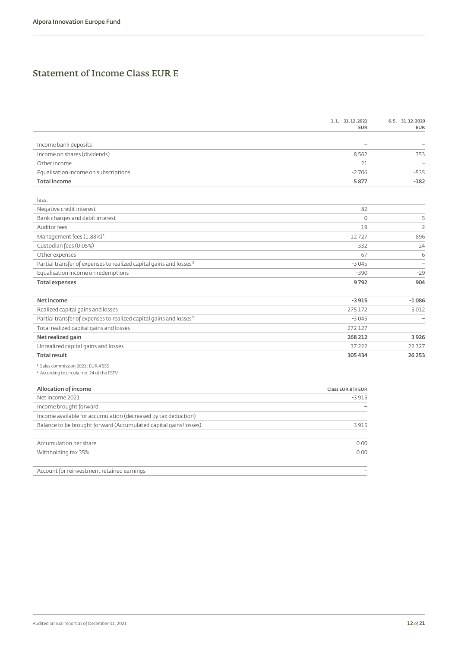### Statement of Income Class EUR E

|                                                                                | $1.1 - 31.12.2021$<br><b>EUR</b> | $6.5 - 31.12.2020$<br><b>EUR</b> |
|--------------------------------------------------------------------------------|----------------------------------|----------------------------------|
|                                                                                |                                  |                                  |
| Income bank deposits                                                           |                                  |                                  |
| Income on shares (dividends)                                                   | 8562                             | 353                              |
| Other income                                                                   | 21                               |                                  |
| Equalisation income on subscriptions                                           | $-2706$                          | $-535$                           |
| <b>Total income</b>                                                            | 5877                             | $-182$                           |
| less:                                                                          |                                  |                                  |
| Negative credit interest                                                       | 82                               |                                  |
| Bank charges and debit interest                                                | $\circ$                          | 5                                |
| Auditor fees                                                                   | 19                               | $\overline{2}$                   |
| Management fees (1.88%) <sup>1</sup>                                           | 12727                            | 896                              |
| Custodian fees (0.05%)                                                         | 332                              | 24                               |
| Other expenses                                                                 | 67                               | 6                                |
| Partial transfer of expenses to realized capital gains and losses <sup>2</sup> | $-3045$                          | $\overline{\phantom{a}}$         |
| Equalisation income on redemptions                                             | $-390$                           | $-29$                            |
| <b>Total expenses</b>                                                          | 9792                             | 904                              |
|                                                                                |                                  |                                  |
| Net income                                                                     | $-3915$                          | $-1086$                          |
| Realized capital gains and losses                                              | 275 172                          | 5012                             |
| Partial transfer of expenses to realized capital gains and losses <sup>2</sup> | $-3045$                          |                                  |
| Total realized capital gains and losses                                        | 272 127                          |                                  |
| Net realized gain                                                              | 268 212                          | 3926                             |
| Unrealized capital gains and losses                                            | 37 222                           | 22 3 27                          |
| <b>Total result</b>                                                            | 305 434                          | 26 25 3                          |
| <sup>1</sup> Sales commission 2021: EUR 4'955                                  |                                  |                                  |
| <sup>2</sup> According to circular no. 24 of the ESTV                          |                                  |                                  |
| Allocation of income                                                           | Class EUR B in EUR               |                                  |
| Net income 2021                                                                | $-3915$                          |                                  |
| Income brought forward                                                         |                                  |                                  |
| Income available for accumulation (decreased by tax deduction)                 |                                  |                                  |
| Balance to be brought forward (Accumulated capital gains/losses)               | $-3915$                          |                                  |
|                                                                                |                                  |                                  |
| Accumulation per share                                                         | 0.00                             |                                  |
| Withholding tax 35%                                                            | 0.00                             |                                  |

Account for reinvestment retained earnings –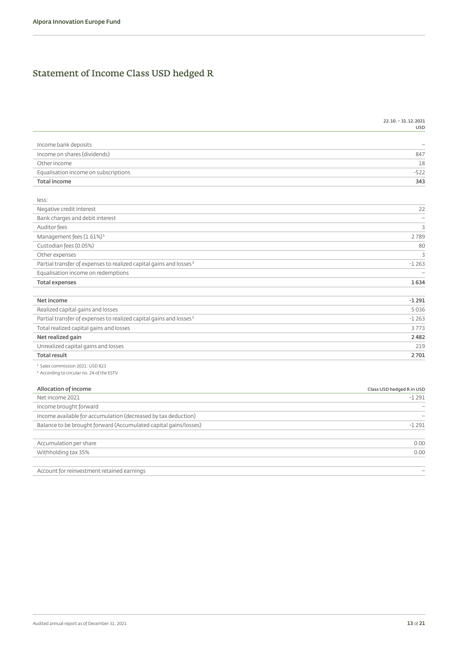# Statement of Income Class USD hedged R

|                                                                                | USL                       |
|--------------------------------------------------------------------------------|---------------------------|
|                                                                                |                           |
| Income bank deposits                                                           |                           |
| Income on shares (dividends)                                                   | 847                       |
| Other income                                                                   | 18                        |
| Equalisation income on subscriptions                                           | $-522$                    |
| <b>Total income</b>                                                            | 343                       |
| less:                                                                          |                           |
| Negative credit interest                                                       | 22                        |
| Bank charges and debit interest                                                |                           |
| Auditor fees                                                                   | 3                         |
| Management fees (1.61%) <sup>1</sup>                                           | 2789                      |
| Custodian fees (0.05%)                                                         | 80                        |
| Other expenses                                                                 | 3                         |
| Partial transfer of expenses to realized capital gains and losses <sup>2</sup> | $-1263$                   |
| Equalisation income on redemptions                                             |                           |
| <b>Total expenses</b>                                                          | 1634                      |
| Net income                                                                     | $-1291$                   |
| Realized capital gains and losses                                              | 5036                      |
| Partial transfer of expenses to realized capital gains and losses <sup>2</sup> | $-1263$                   |
| Total realized capital gains and losses                                        | 3773                      |
| Net realized gain                                                              | 2482                      |
| Unrealized capital gains and losses                                            | 21 <sup>c</sup>           |
| <b>Total result</b>                                                            | 2701                      |
| <sup>1</sup> Sales commission 2021: USD 823                                    |                           |
| <sup>2</sup> According to circular no. 24 of the ESTV                          |                           |
| Allocation of income                                                           | Class USD hedged R in USD |
| Net income 2021                                                                | $-1291$                   |
| Income brought forward                                                         |                           |
| Income available for accumulation (decreased by tax deduction)                 |                           |
| Balance to be brought forward (Accumulated capital gains/losses)               | $-1291$                   |

| Accumulation per share |  |
|------------------------|--|
| Withholding tax 35%    |  |
|                        |  |

Account for reinvestment retained earnings –

**22.10. – 31.12.2021**

**USD**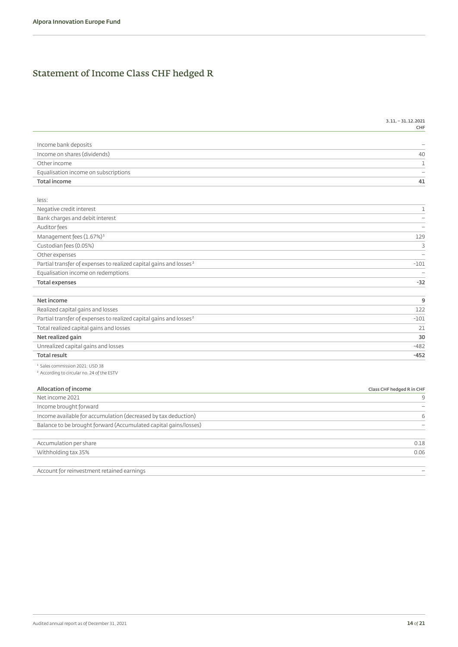# Statement of Income Class CHF hedged R

| 31 | וכחכ כו וג – ו |              |
|----|----------------|--------------|
|    |                | ⊆ ⊫ ⊑<br>. . |

| Income bank deposits                                                           |                           |
|--------------------------------------------------------------------------------|---------------------------|
| Income on shares (dividends)                                                   | 40                        |
| Other income                                                                   | $\mathbf 1$               |
| Equalisation income on subscriptions                                           |                           |
| <b>Total income</b>                                                            | 41                        |
|                                                                                |                           |
| less:                                                                          |                           |
| Negative credit interest                                                       | $\mathbf 1$               |
| Bank charges and debit interest                                                |                           |
| Auditor fees                                                                   |                           |
| Management fees (1.67%) <sup>1</sup>                                           | 129                       |
| Custodian fees (0.05%)                                                         | 3                         |
| Other expenses                                                                 |                           |
| Partial transfer of expenses to realized capital gains and losses <sup>2</sup> | $-101$                    |
| Equalisation income on redemptions                                             |                           |
| <b>Total expenses</b>                                                          | $-32$                     |
|                                                                                |                           |
| Net income                                                                     | $\overline{9}$            |
| Realized capital gains and losses                                              | 122                       |
| Partial transfer of expenses to realized capital gains and losses <sup>2</sup> | $-101$                    |
| Total realized capital gains and losses                                        | 21                        |
| Net realized gain                                                              | 30                        |
| Unrealized capital gains and losses                                            | $-482$                    |
| <b>Total result</b>                                                            | $-452$                    |
| <sup>1</sup> Sales commission 2021: USD 38                                     |                           |
| <sup>2</sup> According to circular no. 24 of the ESTV                          |                           |
|                                                                                |                           |
| Allocation of income                                                           | Class CHF hedged R in CHF |
| Net income 2021                                                                | $\mathsf{S}$              |
| Income brought forward                                                         |                           |
| Income available for accumulation (decreased by tax deduction)                 | 6                         |
| Balance to be brought forward (Accumulated capital gains/losses)               |                           |
|                                                                                |                           |
| Accumulation per share                                                         | 0.18                      |
| Withholding tax 35%                                                            | 0.06                      |
|                                                                                |                           |

Account for reinvestment retained earnings –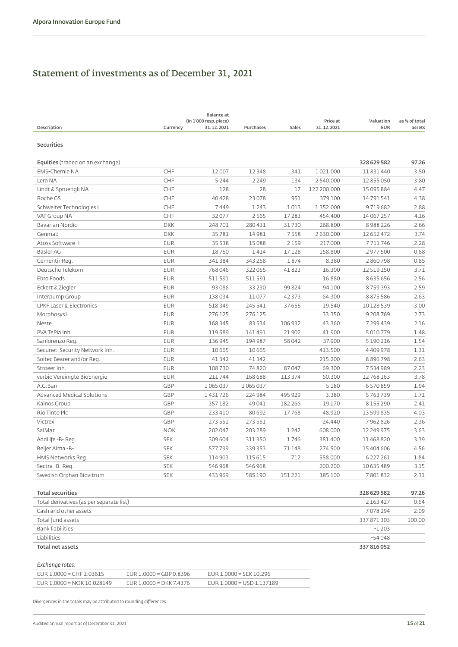# Statement of investments as of December 31, 2021

| Description                              | Currency   | <b>Balance</b> at<br>(in 1'000 resp. piece)<br>31.12.2021 | Purchases | Sales    | Price at<br>31.12.2021 | Valuation<br><b>EUR</b> | as % of total<br>assets |
|------------------------------------------|------------|-----------------------------------------------------------|-----------|----------|------------------------|-------------------------|-------------------------|
| <b>Securities</b>                        |            |                                                           |           |          |                        |                         |                         |
| <b>Equities</b> (traded on an exchange)  |            |                                                           |           |          |                        | 328 629 582             | 97.26                   |
| <b>EMS-Chemie NA</b>                     | CHF        | 12 007                                                    | 12348     | 341      | 1021.000               | 11 831 440              | 3.50                    |
| Lem NA                                   | CHF        | 5 2 4 4                                                   | 2 2 4 9   | 134      | 2540.000               | 12 855 050              | 3.80                    |
| Lindt & Spruengli NA                     | CHF        | 128                                                       | 28        | 17       | 122 200,000            | 15 095 884              | 4.47                    |
| Roche GS                                 | CHF        | 40428                                                     | 23078     | 951      | 379.100                | 14791541                | 4.38                    |
| Schweiter Technologies I                 | CHF        | 7449                                                      | 1243      | 1013     | 1 3 5 2 . 0 0 0        | 9719682                 | 2.88                    |
| VAT Group NA                             | CHF        | 32077                                                     | 2565      | 17283    | 454.400                | 14 067 257              | 4.16                    |
| Bavarian Nordic                          | <b>DKK</b> | 248701                                                    | 280431    | 31730    | 268.800                | 8988226                 | 2.66                    |
| Genmab                                   | <b>DKK</b> | 35781                                                     | 14981     | 7558     | 2 630.000              | 12 652 472              | 3.74                    |
| Atoss Software-I-                        | <b>EUR</b> | 35 5 38                                                   | 15088     | 2 1 5 9  | 217.000                | 7711746                 | 2.28                    |
| Basler AG                                | <b>EUR</b> | 18750                                                     | 1414      | 17 128   | 158.800                | 2977500                 | 0.88                    |
| Cementir Reg.                            | <b>EUR</b> | 341 384                                                   | 343 258   | 1874     | 8.380                  | 2860798                 | 0.85                    |
| Deutsche Telekom                         | <b>EUR</b> | 768046                                                    | 322055    | 41823    | 16.300                 | 12 519 150              | 3.71                    |
| Ebro Foods                               | <b>EUR</b> | 511591                                                    | 511591    |          | 16.880                 | 8635656                 | 2.56                    |
| Eckert & Ziegler                         | <b>EUR</b> | 93 0 86                                                   | 33 2 30   | 99824    | 94.100                 | 8759393                 | 2.59                    |
| Interpump Group                          | <b>EUR</b> | 138034                                                    | 11077     | 42 3 7 3 | 64.300                 | 8875586                 | 2.63                    |
| LPKF Laser & Electronics                 | <b>EUR</b> | 518 349                                                   | 245 541   | 37 655   | 19.540                 | 10 128 539              | 3.00                    |
| Morphosys I                              | <b>EUR</b> | 276 125                                                   | 276 125   |          | 33.350                 | 9 208 769               | 2.73                    |
| Neste                                    | <b>EUR</b> | 168 345                                                   | 83534     | 106 932  | 43.360                 | 7299439                 | 2.16                    |
| PVA TePla Inh.                           | <b>EUR</b> | 119589                                                    | 141491    | 21 902   | 41.900                 | 5010779                 | 1.48                    |
| Sanlorenzo Reg.                          | <b>EUR</b> | 136 945                                                   | 194 987   | 58042    | 37.900                 | 5 190 216               | 1.54                    |
| Secunet Security Network Inh.            | <b>EUR</b> | 10665                                                     | 10665     |          | 413.500                | 4409978                 | 1.31                    |
| Soitec Bearer and/or Reg.                | <b>EUR</b> | 41 3 42                                                   | 41 3 42   |          | 215.200                | 8896798                 | 2.63                    |
| Stroeer Inh.                             | <b>EUR</b> | 108730                                                    | 74820     | 87047    | 69.300                 | 7534989                 | 2.23                    |
| verbio Vereinigte BioEnergie             | <b>EUR</b> | 211744                                                    | 168 688   | 113 374  | 60.300                 | 12768163                | 3.78                    |
| A.G.Barr                                 | <b>GBP</b> | 1065037                                                   | 1065037   |          | 5.180                  | 6570859                 | 1.94                    |
| <b>Advanced Medical Solutions</b>        | <b>GBP</b> | 1431726                                                   | 224 984   | 495 929  | 3.380                  | 5763739                 | 1.71                    |
| Kainos Group                             | GBP        | 357182                                                    | 49 041    | 182 266  | 19.170                 | 8155290                 | 2.41                    |
| Rio Tinto Plc                            | GBP        | 233 410                                                   | 80 692    | 17768    | 48.920                 | 13 599 835              | 4.03                    |
| Victrex                                  | GBP        | 273 551                                                   | 273 551   |          | 24.440                 | 7962826                 | 2.36                    |
| SalMar                                   | <b>NOK</b> | 202047                                                    | 203 289   | 1242     | 608.000                | 12 249 975              | 3.63                    |
| AddLife-B-Reg.                           | <b>SEK</b> | 309 604                                                   | 311350    | 1746     | 381.400                | 11468820                | 3.39                    |
| Beijer Alma-B-                           | <b>SEK</b> | 577799                                                    | 339 353   | 71148    | 274.500                | 15 404 606              | 4.56                    |
| HMS Networks Reg.                        | <b>SEK</b> | 114 903                                                   | 115 615   | 712      | 558.000                | 6 227 261               | 1.84                    |
| Sectra-B-Reg.                            | <b>SEK</b> | 546 968                                                   | 546 968   |          | 200.200                | 10 635 489              | 3.15                    |
| Swedish Orphan Biovitrum                 | <b>SEK</b> | 433 969                                                   | 585190    | 151 221  | 185.100                | 7801832                 | 2.31                    |
| <b>Total securities</b>                  |            |                                                           |           |          |                        | 328 629 582             | 97.26                   |
| Total derivatives (as per separate list) |            |                                                           |           |          |                        | 2 163 427               | 0.64                    |
| Cash and other assets                    |            |                                                           |           |          |                        | 7078294                 | 2.09                    |
| Total fund assets                        |            |                                                           |           |          |                        | 337 871 303             | 100.00                  |
| <b>Bank liabilities</b>                  |            |                                                           |           |          |                        | $-1203$                 |                         |
| Liabilities                              |            |                                                           |           |          |                        | $-54048$                |                         |
| <b>Total net assets</b>                  |            |                                                           |           |          |                        | 337 816 052             |                         |
| Exchange rates:                          |            |                                                           |           |          |                        |                         |                         |

| $EUR 1.0000 = CHF 1.03615$   | $EUR 1.0000 = GBP 0.8396$ | $FUR 1 0000 = SFK 10 296$   |
|------------------------------|---------------------------|-----------------------------|
| EUR $1.0000 = NOK 10.028149$ | EUR $1.0000 = DKK 7.4376$ | $EUR 1.0000 = USD 1.137189$ |

Divergences in the totals may be attributed to rounding differences.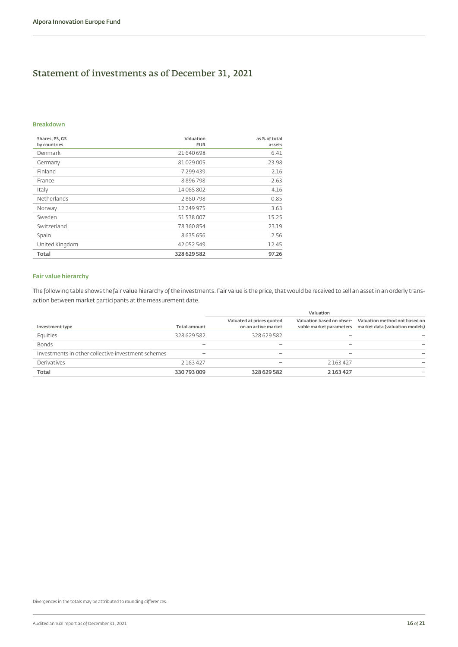### Statement of investments as of December 31, 2021

#### **Breakdown**

| Shares, PS, GS<br>by countries | Valuation<br><b>EUR</b> | as % of total<br>assets |
|--------------------------------|-------------------------|-------------------------|
| Denmark                        | 21 640 698              | 6.41                    |
| Germany                        | 81029005                | 23.98                   |
| Finland                        | 7 299 439               | 2.16                    |
| France                         | 8896798                 | 2.63                    |
| Italy                          | 14 065 802              | 4.16                    |
| Netherlands                    | 2860798                 | 0.85                    |
| Norway                         | 12 249 975              | 3.63                    |
| Sweden                         | 51 538 007              | 15.25                   |
| Switzerland                    | 78 360 854              | 23.19                   |
| Spain                          | 8635656                 | 2.56                    |
| United Kingdom                 | 42 052 549              | 12.45                   |
| Total                          | 328 629 582             | 97.26                   |

### **Fair value hierarchy**

The following table shows the fair value hierarchy of the investments. Fair value is the price, that would be received to sell an asset in an orderly transaction between market participants at the measurement date.

|                                                    |                          |                                                  | Valuation                                            |                                                                 |
|----------------------------------------------------|--------------------------|--------------------------------------------------|------------------------------------------------------|-----------------------------------------------------------------|
| Investment type                                    | <b>Total amount</b>      | Valuated at prices quoted<br>on an active market | Valuation based on obser-<br>vable market parameters | Valuation method not based on<br>market data (valuation models) |
| Equities                                           | 328 629 582              | 328 629 582                                      |                                                      |                                                                 |
| <b>Bonds</b>                                       |                          |                                                  |                                                      |                                                                 |
| Investments in other collective investment schemes | $\overline{\phantom{m}}$ |                                                  |                                                      |                                                                 |
| Derivatives                                        | 2163427                  |                                                  | 2 1 6 3 4 2 7                                        |                                                                 |
| Total                                              | 330 793 009              | 328 629 582                                      | 2 163 427                                            |                                                                 |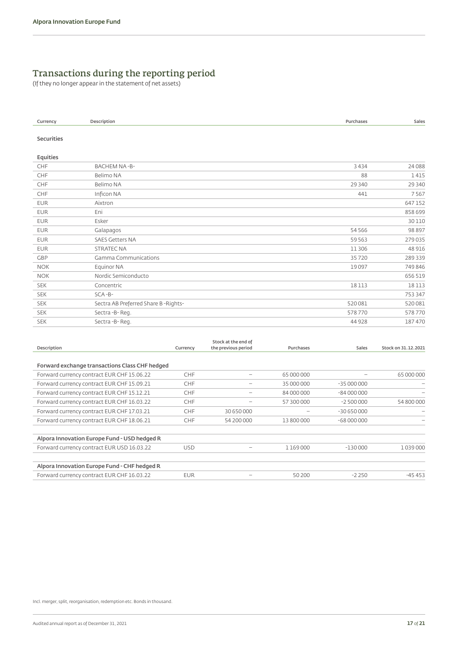### Transactions during the reporting period

(If they no longer appear in the statement of net assets)

| Currency          | Description                         | Purchases | Sales   |
|-------------------|-------------------------------------|-----------|---------|
| <b>Securities</b> |                                     |           |         |
| Equities          |                                     |           |         |
| CHF               | BACHEM NA-B-                        | 3434      | 24088   |
| CHF               | Belimo NA                           | 88        | 1415    |
| CHF               | Belimo NA                           | 29 340    | 29 340  |
| CHF               | Inficon NA                          | 441       | 7567    |
| <b>EUR</b>        | Aixtron                             |           | 647152  |
| <b>EUR</b>        | Eni                                 |           | 858 699 |
| <b>EUR</b>        | Esker                               |           | 30110   |
| <b>EUR</b>        | Galapagos                           | 54 5 66   | 98897   |
| <b>EUR</b>        | <b>SAES Getters NA</b>              | 59 5 63   | 279035  |
| <b>EUR</b>        | <b>STRATEC NA</b>                   | 11306     | 48 916  |
| GBP               | Gamma Communications                | 35720     | 289339  |
| <b>NOK</b>        | Equinor NA                          | 19097     | 749 846 |
| <b>NOK</b>        | Nordic Semiconducto                 |           | 656 519 |
| <b>SEK</b>        | Concentric                          | 18113     | 18113   |
| <b>SEK</b>        | $SCA - B -$                         |           | 753 347 |
| <b>SEK</b>        | Sectra AB Preferred Share B-Rights- | 520081    | 520081  |
| <b>SEK</b>        | Sectra-B-Reg.                       | 578770    | 578770  |
| <b>SEK</b>        | Sectra-B-Reg.                       | 44 9 28   | 187470  |
|                   | Stock at the end of                 |           |         |

| Description                                    | Currency   | the previous period | Purchases  | Sales       | Stock on 31.12.2021 |
|------------------------------------------------|------------|---------------------|------------|-------------|---------------------|
|                                                |            |                     |            |             |                     |
| Forward exchange transactions Class CHF hedged |            |                     |            |             |                     |
| Forward currency contract EUR CHF 15.06.22     | <b>CHF</b> |                     | 65 000 000 |             | 65 000 000          |
| Forward currency contract EUR CHF 15.09.21     | <b>CHF</b> |                     | 35 000 000 | $-35000000$ |                     |
| Forward currency contract EUR CHF 15.12.21     | <b>CHF</b> |                     | 84 000 000 | $-84000000$ |                     |
| Forward currency contract EUR CHF 16.03.22     | <b>CHF</b> |                     | 57 300 000 | $-2500000$  | 54 800 000          |
| Forward currency contract EUR CHF 17.03.21     | CHF        | 30 650 000          |            | $-30650000$ |                     |
| Forward currency contract EUR CHF 18.06.21     | <b>CHF</b> | 54 200 000          | 13 800 000 | $-68000000$ |                     |
| Alpora Innovation Europe Fund - USD hedged R   |            |                     |            |             |                     |
| Forward currency contract EUR USD 16.03.22     | <b>USD</b> |                     | 1169000    | $-130000$   | 1039000             |
| Alpora Innovation Europe Fund - CHF hedged R   |            |                     |            |             |                     |
| Forward currency contract EUR CHF 16.03.22     | <b>EUR</b> |                     | 50 200     | $-2250$     | $-45453$            |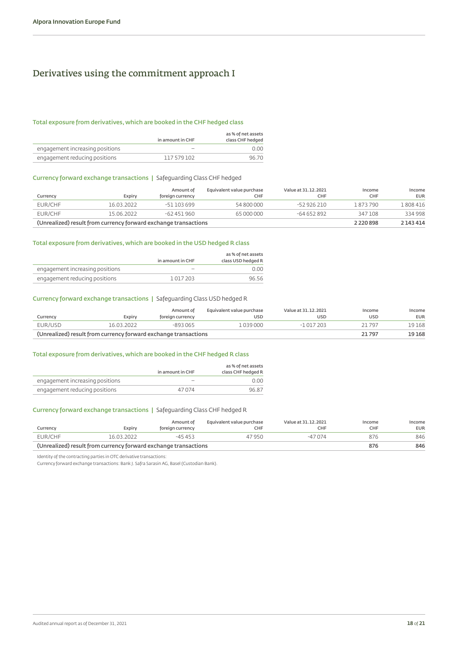### <span id="page-17-0"></span>Derivatives using the commitment approach I

### **Total exposure from derivatives, which are booked in the CHF hedged class**

|                                 | in amount in CHF | as % of net assets<br>class CHF hedged |
|---------------------------------|------------------|----------------------------------------|
| engagement increasing positions |                  | 0.00                                   |
| engagement reducing positions   | 117579102        | 96.70                                  |

### **Currency forward exchange transactions |** Safeguarding Class CHF hedged

|          |                                                                 | Amount of        | Equivalent value purchase | Value at 31, 12, 2021 | Income        | Income     |
|----------|-----------------------------------------------------------------|------------------|---------------------------|-----------------------|---------------|------------|
| Currency | Expirv                                                          | foreign currency | CHF                       | CHF                   | <b>CHF</b>    | <b>EUR</b> |
| EUR/CHF  | 16.03.2022                                                      | $-51103699$      | 54 800 000                | $-52926210$           | 1873790       | 808416     |
| EUR/CHF  | 15.06.2022                                                      | $-62451960$      | 65 000 000                | -64 652 892           | 347 108       | 334998     |
|          | (Unrealized) result from currency forward exchange transactions |                  |                           |                       | 2 2 2 0 8 9 8 | 2 143 4 14 |

### **Total exposure from derivatives, which are booked in the USD hedged R class**

|                                 |                  | as % of net assets |
|---------------------------------|------------------|--------------------|
|                                 | in amount in CHF | class USD hedged R |
| engagement increasing positions |                  | 0.00               |
| engagement reducing positions   | 1017203          | 96.56              |

### **Currency forward exchange transactions |** Safeguarding Class USD hedged R

| Currencv                                                        | Expiry     | Amount of<br>foreign currency | Equivalent value purchase<br>USD | Value at 31, 12, 2021<br><b>USD</b> | Income<br><b>USD</b> | Income<br><b>EUR</b> |
|-----------------------------------------------------------------|------------|-------------------------------|----------------------------------|-------------------------------------|----------------------|----------------------|
| EUR/USD                                                         | 16.03.2022 | $-893065$                     | 039000                           | $-1017203$                          | 21 797               | 19 168               |
| (Unrealized) result from currency forward exchange transactions |            |                               |                                  |                                     |                      | 19 168               |

### **Total exposure from derivatives, which are booked in the CHF hedged R class**

|                                 |                  | as % of net assets |
|---------------------------------|------------------|--------------------|
|                                 | in amount in CHF | class CHF hedged R |
| engagement increasing positions | -                | 0.00               |
| engagement reducing positions   | 47074            | 96.87              |

### **Currency forward exchange transactions |** Safeguarding Class CHF hedged R

| Currency                                                        | Expiry     | Amount of<br>foreign currency | Equivalent value purchase<br>CHF | Value at 31, 12, 2021<br>CHF | Income<br>CHF | Income<br><b>EUR</b> |
|-----------------------------------------------------------------|------------|-------------------------------|----------------------------------|------------------------------|---------------|----------------------|
| EUR/CHF                                                         | 16.03.2022 | $-45453$                      | 47950                            | -47 074                      | 876           | 846                  |
| (Unrealized) result from currency forward exchange transactions |            |                               |                                  |                              | 876           | 846                  |

Identity of the contracting parties in OTC derivative transactions:

Currency forward exchange transactions: Bank J. Safra Sarasin AG, Basel (Custodian Bank).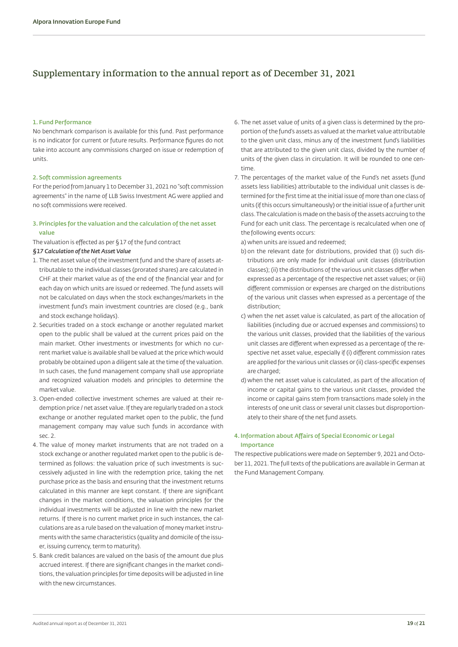### <span id="page-18-0"></span>Supplementary information to the annual report as of December 31, 2021

#### **1. Fund Performance**

No benchmark comparison is available for this fund. Past performance is no indicator for current or future results. Performance figures do not take into account any commissions charged on issue or redemption of units.

#### **2. Soft commission agreements**

For the period from January 1 to December 31, 2021 no "soft commission agreements" in the name of LLB Swiss Investment AG were applied and no soft commissions were received.

### **3. Principles for the valuation and the calculation of the net asset value**

The valuation is effected as per §17 of the fund contract

### *§17 Calculation of the Net Asset Value*

- 1. The net asset value of the investment fund and the share of assets attributable to the individual classes (prorated shares) are calculated in CHF at their market value as of the end of the financial year and for each day on which units are issued or redeemed. The fund assets will not be calculated on days when the stock exchanges/markets in the investment fund's main investment countries are closed (e.g., bank and stock exchange holidays).
- 2. Securities traded on a stock exchange or another regulated market open to the public shall be valued at the current prices paid on the main market. Other investments or investments for which no current market value is available shall be valued at the price which would probably be obtained upon a diligent sale at the time of the valuation. In such cases, the fund management company shall use appropriate and recognized valuation models and principles to determine the market value.
- 3. Open-ended collective investment schemes are valued at their redemption price / net asset value. If they are regularly traded on a stock exchange or another regulated market open to the public, the fund management company may value such funds in accordance with sec. 2.
- 4. The value of money market instruments that are not traded on a stock exchange or another regulated market open to the public is determined as follows: the valuation price of such investments is successively adjusted in line with the redemption price, taking the net purchase price as the basis and ensuring that the investment returns calculated in this manner are kept constant. If there are significant changes in the market conditions, the valuation principles for the individual investments will be adjusted in line with the new market returns. If there is no current market price in such instances, the calculations are as a rule based on the valuation of money market instruments with the same characteristics (quality and domicile of the issuer, issuing currency, term to maturity).
- 5. Bank credit balances are valued on the basis of the amount due plus accrued interest. If there are significant changes in the market conditions, the valuation principles for time deposits will be adjusted in line with the new circumstances.
- 6. The net asset value of units of a given class is determined by the proportion of the fund's assets as valued at the market value attributable to the given unit class, minus any of the investment fund's liabilities that are attributed to the given unit class, divided by the number of units of the given class in circulation. It will be rounded to one centime.
- 7. The percentages of the market value of the Fund's net assets (fund assets less liabilities) attributable to the individual unit classes is determined for the first time at the initial issue of more than one class of units (if this occurs simultaneously) or the initial issue of a further unit class. The calculation is made on the basis of the assets accruing to the Fund for each unit class. The percentage is recalculated when one of the following events occurs:

a) when units are issued and redeemed;

- b) on the relevant date for distributions, provided that (i) such distributions are only made for individual unit classes (distribution classes); (ii) the distributions of the various unit classes differ when expressed as a percentage of the respective net asset values; or (iii) different commission or expenses are charged on the distributions of the various unit classes when expressed as a percentage of the distribution;
- c) when the net asset value is calculated, as part of the allocation of liabilities (including due or accrued expenses and commissions) to the various unit classes, provided that the liabilities of the various unit classes are different when expressed as a percentage of the respective net asset value, especially if (i) different commission rates are applied for the various unit classes or (ii) class-specific expenses are charged;
- d) when the net asset value is calculated, as part of the allocation of income or capital gains to the various unit classes, provided the income or capital gains stem from transactions made solely in the interests of one unit class or several unit classes but disproportionately to their share of the net fund assets.

### **4. Information about Affairs of Special Economic or Legal Importance**

The respective publications were made on September 9, 2021 and October 11, 2021. The full texts of the publications are available in German at the Fund Management Company.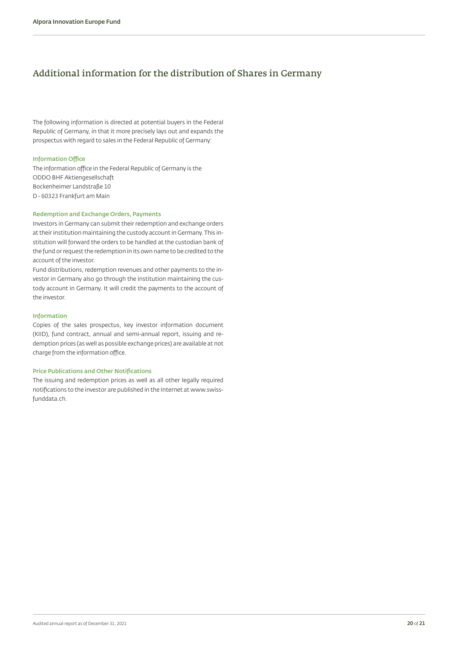### <span id="page-19-1"></span><span id="page-19-0"></span>Additional information for the distribution of Shares in Germany

The following information is directed at potential buyers in the Federal Republic of Germany, in that it more precisely lays out and expands the prospectus with regard to sales in the Federal Republic of Germany:

#### **Information Office**

The information office in the Federal Republic of Germany is the ODDO BHF Aktiengesellschaft Bockenheimer Landstraße 10 D - 60323 Frankfurt am Main

### **Redemption and Exchange Orders, Payments**

Investors in Germany can submit their redemption and exchange orders at their institution maintaining the custody account in Germany. This institution will forward the orders to be handled at the custodian bank of the fund or request the redemption in its own name to be credited to the account of the investor.

Fund distributions, redemption revenues and other payments to the investor in Germany also go through the institution maintaining the custody account in Germany. It will credit the payments to the account of the investor.

#### **Information**

Copies of the sales prospectus, key investor information document (KIID), fund contract, annual and semi-annual report, issuing and redemption prices (as well as possible exchange prices) are available at not charge from the information office.

#### **Price Publications and Other Notifications**

The issuing and redemption prices as well as all other legally required notifications to the investor are published in the Internet at www.swissfunddata.ch.